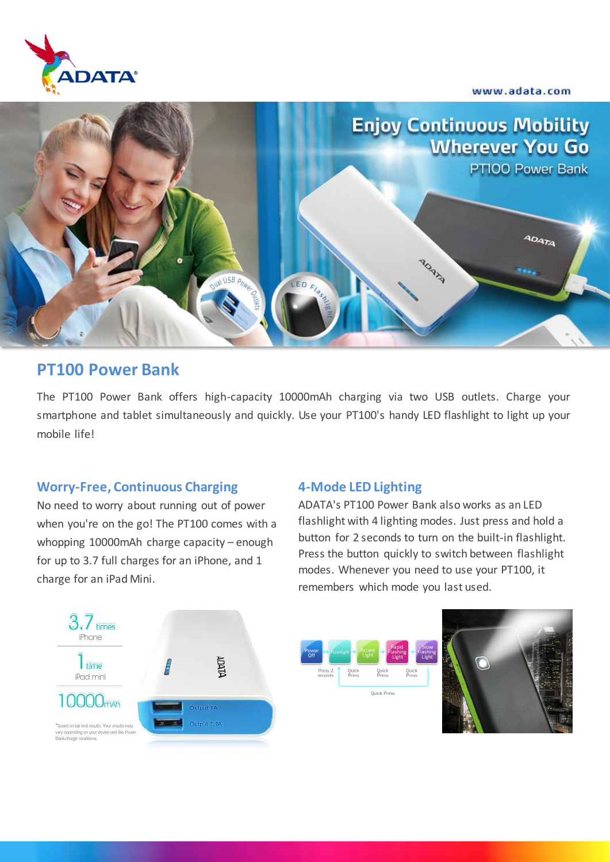www.adata.com





## **PT100 Power Bank**

The PT100 Power Bank offers high-capacity 10000mAh charging via two USB outlets. Charge your smartphone and tablet simultaneously and quickly. Use your PT100's handy LED flashlight to light up your mobile life!

### **Worry-Free, Continuous Charging**

No need to worry about running out of power when you're on the go! The PT100 comes with a whopping 10000mAh charge capacity – enough for up to 3.7 full charges for an iPhone, and 1 charge for an iPad Mini.

#### **4-Mode LED Lighting**

ADATA's PT100 Power Bank also works as an LED flashlight with 4 lighting modes. Just press and hold a button for 2 seconds to turn on the built-in flashlight. Press the button quickly to switch between flashlight modes. Whenever you need to use your PT100, it remembers which mode you last used.